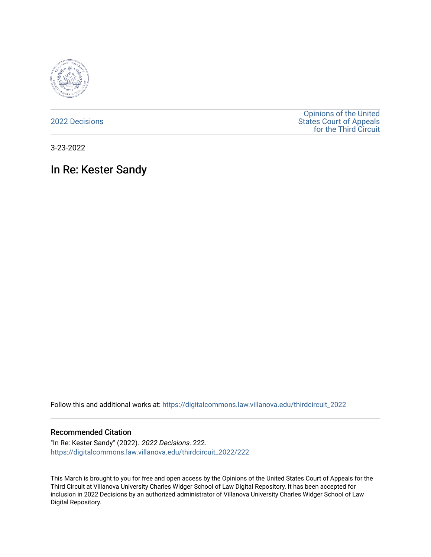

[2022 Decisions](https://digitalcommons.law.villanova.edu/thirdcircuit_2022)

[Opinions of the United](https://digitalcommons.law.villanova.edu/thirdcircuit)  [States Court of Appeals](https://digitalcommons.law.villanova.edu/thirdcircuit)  [for the Third Circuit](https://digitalcommons.law.villanova.edu/thirdcircuit) 

3-23-2022

# In Re: Kester Sandy

Follow this and additional works at: [https://digitalcommons.law.villanova.edu/thirdcircuit\\_2022](https://digitalcommons.law.villanova.edu/thirdcircuit_2022?utm_source=digitalcommons.law.villanova.edu%2Fthirdcircuit_2022%2F222&utm_medium=PDF&utm_campaign=PDFCoverPages) 

### Recommended Citation

"In Re: Kester Sandy" (2022). 2022 Decisions. 222. [https://digitalcommons.law.villanova.edu/thirdcircuit\\_2022/222](https://digitalcommons.law.villanova.edu/thirdcircuit_2022/222?utm_source=digitalcommons.law.villanova.edu%2Fthirdcircuit_2022%2F222&utm_medium=PDF&utm_campaign=PDFCoverPages)

This March is brought to you for free and open access by the Opinions of the United States Court of Appeals for the Third Circuit at Villanova University Charles Widger School of Law Digital Repository. It has been accepted for inclusion in 2022 Decisions by an authorized administrator of Villanova University Charles Widger School of Law Digital Repository.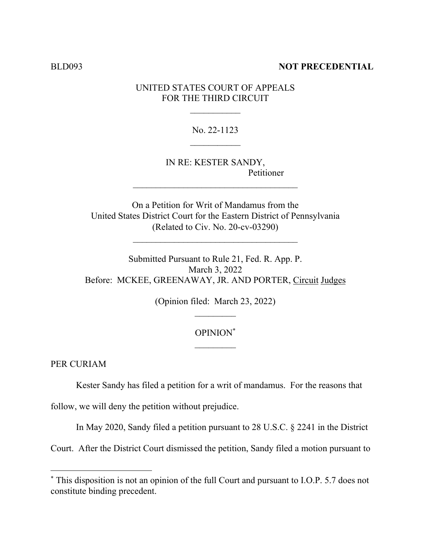### BLD093 **NOT PRECEDENTIAL**

### UNITED STATES COURT OF APPEALS FOR THE THIRD CIRCUIT

No. 22-1123

IN RE: KESTER SANDY, Petitioner

On a Petition for Writ of Mandamus from the United States District Court for the Eastern District of Pennsylvania (Related to Civ. No. 20-cv-03290)

 $\mathcal{L}_\text{max}$ 

 $\mathcal{L}_\text{max}$ 

Submitted Pursuant to Rule 21, Fed. R. App. P. March 3, 2022 Before: MCKEE, GREENAWAY, JR. AND PORTER, Circuit Judges

(Opinion filed: March 23, 2022)

## OPINION\*  $\mathcal{L}_\text{max}$

PER CURIAM

Kester Sandy has filed a petition for a writ of mandamus. For the reasons that

follow, we will deny the petition without prejudice.

In May 2020, Sandy filed a petition pursuant to 28 U.S.C. § 2241 in the District

Court. After the District Court dismissed the petition, Sandy filed a motion pursuant to

<sup>\*</sup> This disposition is not an opinion of the full Court and pursuant to I.O.P. 5.7 does not constitute binding precedent.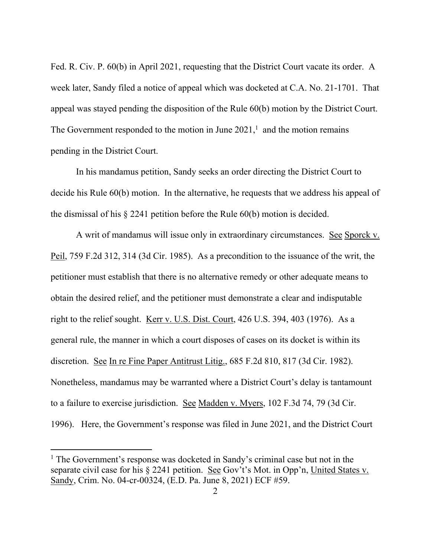Fed. R. Civ. P. 60(b) in April 2021, requesting that the District Court vacate its order. A week later, Sandy filed a notice of appeal which was docketed at C.A. No. 21-1701. That appeal was stayed pending the disposition of the Rule 60(b) motion by the District Court. The Government responded to the motion in June  $2021<sup>1</sup>$  and the motion remains pending in the District Court.

In his mandamus petition, Sandy seeks an order directing the District Court to decide his Rule 60(b) motion. In the alternative, he requests that we address his appeal of the dismissal of his § 2241 petition before the Rule 60(b) motion is decided.

A writ of mandamus will issue only in extraordinary circumstances. See Sporck v. Peil, 759 F.2d 312, 314 (3d Cir. 1985). As a precondition to the issuance of the writ, the petitioner must establish that there is no alternative remedy or other adequate means to obtain the desired relief, and the petitioner must demonstrate a clear and indisputable right to the relief sought. Kerr v. U.S. Dist. Court, 426 U.S. 394, 403 (1976). As a general rule, the manner in which a court disposes of cases on its docket is within its discretion. See In re Fine Paper Antitrust Litig., 685 F.2d 810, 817 (3d Cir. 1982). Nonetheless, mandamus may be warranted where a District Court's delay is tantamount to a failure to exercise jurisdiction. See Madden v. Myers, 102 F.3d 74, 79 (3d Cir. 1996). Here, the Government's response was filed in June 2021, and the District Court

<sup>&</sup>lt;sup>1</sup> The Government's response was docketed in Sandy's criminal case but not in the separate civil case for his § 2241 petition. See Gov't's Mot. in Opp'n, United States v. Sandy, Crim. No. 04-cr-00324, (E.D. Pa. June 8, 2021) ECF #59.